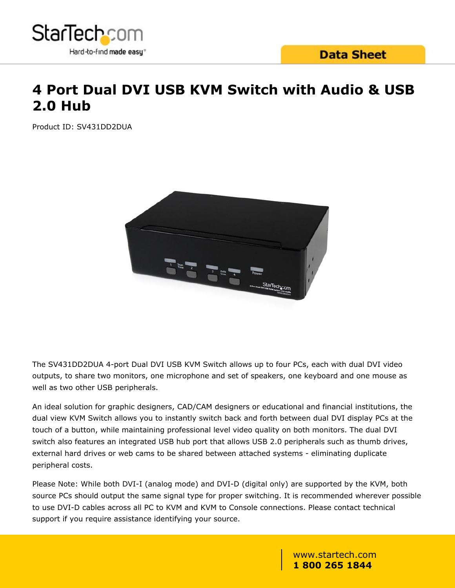

## **Data Sheet**

## **4 Port Dual DVI USB KVM Switch with Audio & USB 2.0 Hub**

Product ID: SV431DD2DUA



The SV431DD2DUA 4-port Dual DVI USB KVM Switch allows up to four PCs, each with dual DVI video outputs, to share two monitors, one microphone and set of speakers, one keyboard and one mouse as well as two other USB peripherals.

An ideal solution for graphic designers, CAD/CAM designers or educational and financial institutions, the dual view KVM Switch allows you to instantly switch back and forth between dual DVI display PCs at the touch of a button, while maintaining professional level video quality on both monitors. The dual DVI switch also features an integrated USB hub port that allows USB 2.0 peripherals such as thumb drives, external hard drives or web cams to be shared between attached systems - eliminating duplicate peripheral costs.

Please Note: While both DVI-I (analog mode) and DVI-D (digital only) are supported by the KVM, both source PCs should output the same signal type for proper switching. It is recommended wherever possible to use DVI-D cables across all PC to KVM and KVM to Console connections. Please contact technical support if you require assistance identifying your source.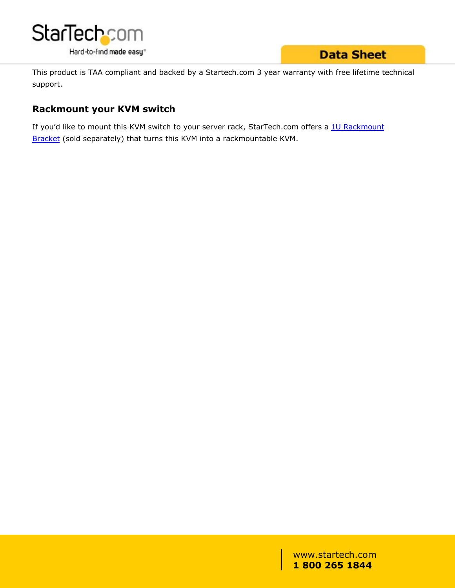

## **Data Sheet**

This product is TAA compliant and backed by a Startech.com 3 year warranty with free lifetime technical support.

### **Rackmount your KVM switch**

If you'd like to mount this KVM switch to your server rack, StarTech.com offers a [1U Rackmount](/Server-Management/KVM-Switches/Rackmount-Bracket-for-SV431-SV431D-KVM-Switch~SV431RACK) [Bracket](/Server-Management/KVM-Switches/Rackmount-Bracket-for-SV431-SV431D-KVM-Switch~SV431RACK) (sold separately) that turns this KVM into a rackmountable KVM.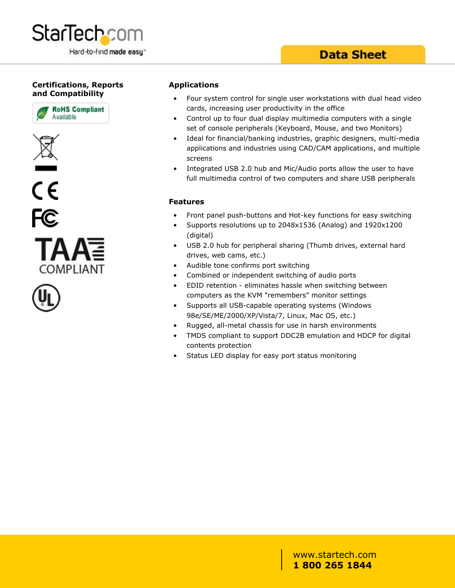

## **Data Sheet**

#### **Certifications, Reports and Compatibility**











#### **Applications**

- Four system control for single user workstations with dual head video cards, increasing user productivity in the office
- Control up to four dual display multimedia computers with a single set of console peripherals (Keyboard, Mouse, and two Monitors)
- Ideal for financial/banking industries, graphic designers, multi-media applications and industries using CAD/CAM applications, and multiple screens
- Integrated USB 2.0 hub and Mic/Audio ports allow the user to have full multimedia control of two computers and share USB peripherals

#### **Features**

- Front panel push-buttons and Hot-key functions for easy switching
- Supports resolutions up to 2048x1536 (Analog) and 1920x1200 (digital)
- USB 2.0 hub for peripheral sharing (Thumb drives, external hard drives, web cams, etc.)
- Audible tone confirms port switching
- Combined or independent switching of audio ports
- EDID retention eliminates hassle when switching between computers as the KVM "remembers" monitor settings
- Supports all USB-capable operating systems (Windows 98e/SE/ME/2000/XP/Vista/7, Linux, Mac OS, etc.)
- Rugged, all-metal chassis for use in harsh environments
- TMDS compliant to support DDC2B emulation and HDCP for digital contents protection
- Status LED display for easy port status monitoring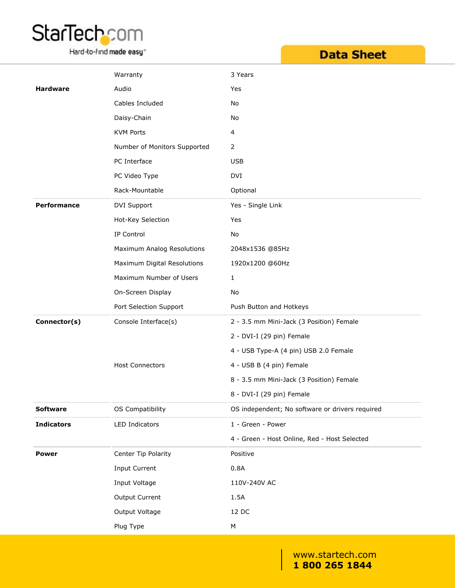# StarTech.com

Hard-to-find made easy<sup>®</sup>

| <b>Data Sheet</b> |  |  |
|-------------------|--|--|
|                   |  |  |
|                   |  |  |

|                    | Warranty                     | 3 Years                                         |
|--------------------|------------------------------|-------------------------------------------------|
| <b>Hardware</b>    | Audio                        | Yes                                             |
|                    | Cables Included              | No                                              |
|                    | Daisy-Chain                  | No                                              |
|                    | <b>KVM Ports</b>             | 4                                               |
|                    | Number of Monitors Supported | 2                                               |
|                    | PC Interface                 | <b>USB</b>                                      |
|                    | PC Video Type                | DVI                                             |
|                    | Rack-Mountable               | Optional                                        |
| <b>Performance</b> | DVI Support                  | Yes - Single Link                               |
|                    | Hot-Key Selection            | Yes                                             |
|                    | IP Control                   | No                                              |
|                    | Maximum Analog Resolutions   | 2048x1536 @85Hz                                 |
|                    | Maximum Digital Resolutions  | 1920x1200 @60Hz                                 |
|                    | Maximum Number of Users      | $\mathbf{1}$                                    |
|                    | On-Screen Display            | No                                              |
|                    | Port Selection Support       | Push Button and Hotkeys                         |
| Connector(s)       | Console Interface(s)         | 2 - 3.5 mm Mini-Jack (3 Position) Female        |
|                    |                              | 2 - DVI-I (29 pin) Female                       |
|                    |                              | 4 - USB Type-A (4 pin) USB 2.0 Female           |
|                    | <b>Host Connectors</b>       | 4 - USB B (4 pin) Female                        |
|                    |                              | 8 - 3.5 mm Mini-Jack (3 Position) Female        |
|                    |                              | 8 - DVI-I (29 pin) Female                       |
| <b>Software</b>    | OS Compatibility             | OS independent; No software or drivers required |
| <b>Indicators</b>  | LED Indicators               | 1 - Green - Power                               |
|                    |                              | 4 - Green - Host Online, Red - Host Selected    |
| <b>Power</b>       | Center Tip Polarity          | Positive                                        |
|                    | <b>Input Current</b>         | 0.8A                                            |
|                    | Input Voltage                | 110V-240V AC                                    |
|                    | Output Current               | 1.5A                                            |
|                    | Output Voltage               | 12 DC                                           |
|                    | Plug Type                    | ${\sf M}$                                       |